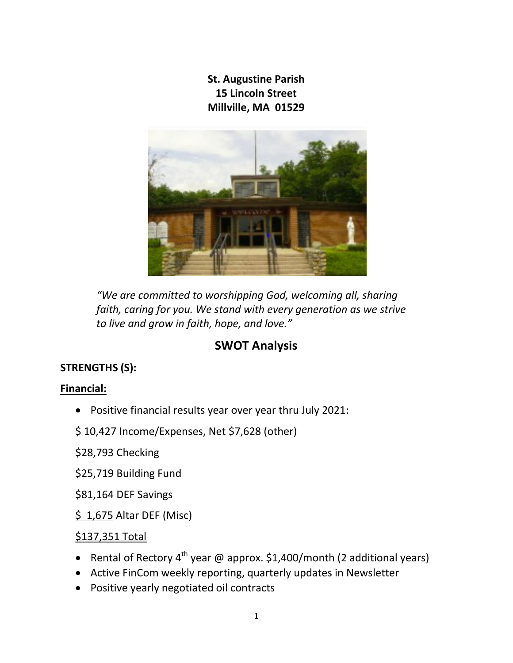St. Augustine Parish 15 Lincoln Street Millville, MA 01529



"We are committed to worshipping God, welcoming all, sharing faith, caring for you. We stand with every generation as we strive to live and grow in faith, hope, and love."

# SWOT Analysis

## STRENGTHS (S):

### Financial:

Positive financial results year over year thru July 2021:

### \$ 10,427 Income/Expenses, Net \$7,628 (other)

\$28,793 Checking

- \$25,719 Building Fund
- \$81,164 DEF Savings
- \$ 1,675 Altar DEF (Misc)

#### \$137,351 Total

- Rental of Rectory  $4^{th}$  year @ approx. \$1,400/month (2 additional years)
- Active FinCom weekly reporting, quarterly updates in Newsletter
- Positive yearly negotiated oil contracts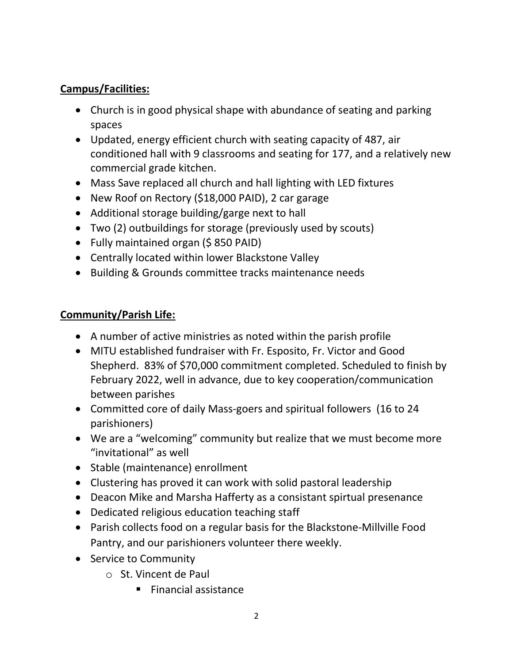### Campus/Facilities:

- Church is in good physical shape with abundance of seating and parking spaces
- Updated, energy efficient church with seating capacity of 487, air conditioned hall with 9 classrooms and seating for 177, and a relatively new commercial grade kitchen.
- Mass Save replaced all church and hall lighting with LED fixtures
- New Roof on Rectory (\$18,000 PAID), 2 car garage
- Additional storage building/garge next to hall
- Two (2) outbuildings for storage (previously used by scouts)
- Fully maintained organ (\$850 PAID)
- Centrally located within lower Blackstone Valley
- Building & Grounds committee tracks maintenance needs

- A number of active ministries as noted within the parish profile
- MITU established fundraiser with Fr. Esposito, Fr. Victor and Good Shepherd. 83% of \$70,000 commitment completed. Scheduled to finish by February 2022, well in advance, due to key cooperation/communication between parishes
- Committed core of daily Mass-goers and spiritual followers (16 to 24 parishioners)
- We are a "welcoming" community but realize that we must become more "invitational" as well
- Stable (maintenance) enrollment
- Clustering has proved it can work with solid pastoral leadership
- Deacon Mike and Marsha Hafferty as a consistant spirtual presenance
- Dedicated religious education teaching staff
- Parish collects food on a regular basis for the Blackstone-Millville Food Pantry, and our parishioners volunteer there weekly.
- Service to Community
	- o St. Vincent de Paul
		- Financial assistance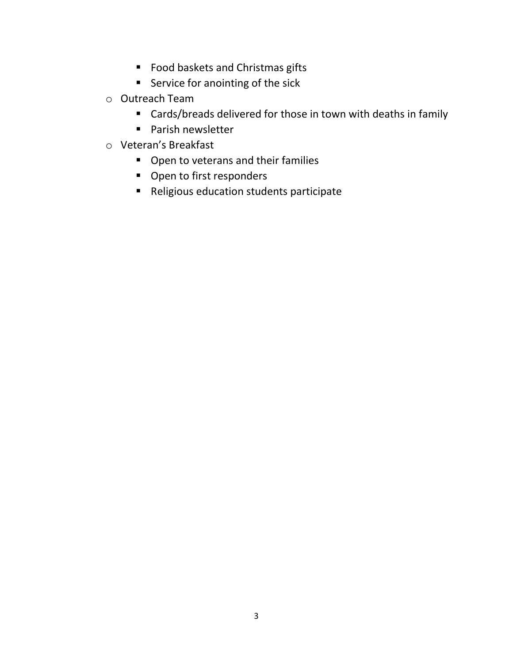- Food baskets and Christmas gifts
- **Service for anointing of the sick**
- o Outreach Team
	- Cards/breads delivered for those in town with deaths in family
	- **Parish newsletter**
- o Veteran's Breakfast
	- Open to veterans and their families
	- Open to first responders
	- Religious education students participate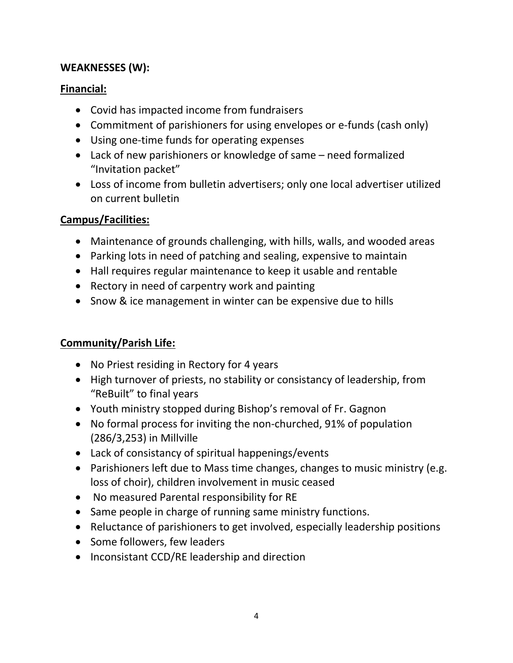#### WEAKNESSES (W):

#### Financial:

- Covid has impacted income from fundraisers
- Commitment of parishioners for using envelopes or e-funds (cash only)
- Using one-time funds for operating expenses
- Lack of new parishioners or knowledge of same need formalized "Invitation packet"
- Loss of income from bulletin advertisers; only one local advertiser utilized on current bulletin

### Campus/Facilities:

- Maintenance of grounds challenging, with hills, walls, and wooded areas
- Parking lots in need of patching and sealing, expensive to maintain
- Hall requires regular maintenance to keep it usable and rentable
- Rectory in need of carpentry work and painting
- Snow & ice management in winter can be expensive due to hills

- No Priest residing in Rectory for 4 years
- High turnover of priests, no stability or consistancy of leadership, from "ReBuilt" to final years
- Youth ministry stopped during Bishop's removal of Fr. Gagnon
- No formal process for inviting the non-churched, 91% of population (286/3,253) in Millville
- Lack of consistancy of spiritual happenings/events
- Parishioners left due to Mass time changes, changes to music ministry (e.g. loss of choir), children involvement in music ceased
- No measured Parental responsibility for RE
- Same people in charge of running same ministry functions.
- Reluctance of parishioners to get involved, especially leadership positions
- Some followers, few leaders
- Inconsistant CCD/RE leadership and direction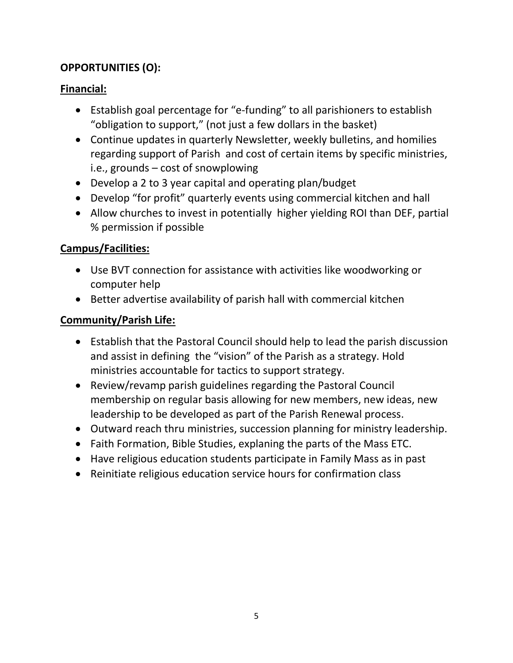## OPPORTUNITIES (O):

## Financial:

- Establish goal percentage for "e-funding" to all parishioners to establish "obligation to support," (not just a few dollars in the basket)
- Continue updates in quarterly Newsletter, weekly bulletins, and homilies regarding support of Parish and cost of certain items by specific ministries, i.e., grounds – cost of snowplowing
- Develop a 2 to 3 year capital and operating plan/budget
- Develop "for profit" quarterly events using commercial kitchen and hall
- Allow churches to invest in potentially higher yielding ROI than DEF, partial % permission if possible

# Campus/Facilities:

- Use BVT connection for assistance with activities like woodworking or computer help
- Better advertise availability of parish hall with commercial kitchen

- Establish that the Pastoral Council should help to lead the parish discussion and assist in defining the "vision" of the Parish as a strategy. Hold ministries accountable for tactics to support strategy.
- Review/revamp parish guidelines regarding the Pastoral Council membership on regular basis allowing for new members, new ideas, new leadership to be developed as part of the Parish Renewal process.
- Outward reach thru ministries, succession planning for ministry leadership.
- Faith Formation, Bible Studies, explaning the parts of the Mass ETC.
- Have religious education students participate in Family Mass as in past
- Reinitiate religious education service hours for confirmation class